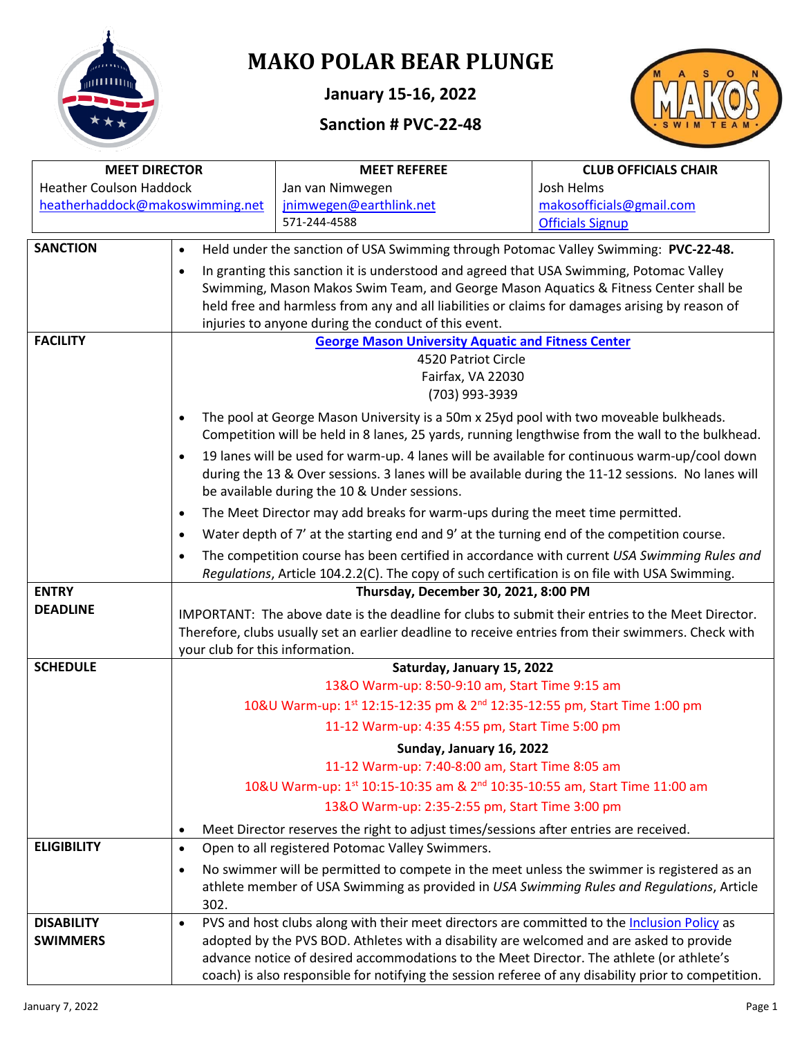

# **MAKO POLAR BEAR PLUNGE**

**January 15-16, 2022**

## **Sanction # PVC-22-48**



| <b>MEET DIRECTOR</b>            |                                                                                                     | <b>MEET REFEREE</b>                                                                                  | <b>CLUB OFFICIALS CHAIR</b> |  |  |  |  |  |  |  |
|---------------------------------|-----------------------------------------------------------------------------------------------------|------------------------------------------------------------------------------------------------------|-----------------------------|--|--|--|--|--|--|--|
| <b>Heather Coulson Haddock</b>  |                                                                                                     | Jan van Nimwegen                                                                                     | Josh Helms                  |  |  |  |  |  |  |  |
| heatherhaddock@makoswimming.net |                                                                                                     | jnimwegen@earthlink.net                                                                              | makosofficials@gmail.com    |  |  |  |  |  |  |  |
|                                 |                                                                                                     | 571-244-4588                                                                                         | <b>Officials Signup</b>     |  |  |  |  |  |  |  |
| <b>SANCTION</b>                 | $\bullet$                                                                                           | Held under the sanction of USA Swimming through Potomac Valley Swimming: PVC-22-48.                  |                             |  |  |  |  |  |  |  |
|                                 | $\bullet$                                                                                           | In granting this sanction it is understood and agreed that USA Swimming, Potomac Valley              |                             |  |  |  |  |  |  |  |
|                                 |                                                                                                     | Swimming, Mason Makos Swim Team, and George Mason Aquatics & Fitness Center shall be                 |                             |  |  |  |  |  |  |  |
|                                 |                                                                                                     | held free and harmless from any and all liabilities or claims for damages arising by reason of       |                             |  |  |  |  |  |  |  |
|                                 |                                                                                                     | injuries to anyone during the conduct of this event.                                                 |                             |  |  |  |  |  |  |  |
| <b>FACILITY</b>                 |                                                                                                     | <b>George Mason University Aquatic and Fitness Center</b>                                            |                             |  |  |  |  |  |  |  |
|                                 |                                                                                                     | 4520 Patriot Circle                                                                                  |                             |  |  |  |  |  |  |  |
|                                 |                                                                                                     | Fairfax, VA 22030                                                                                    |                             |  |  |  |  |  |  |  |
|                                 |                                                                                                     | (703) 993-3939                                                                                       |                             |  |  |  |  |  |  |  |
|                                 | $\bullet$                                                                                           | The pool at George Mason University is a 50m x 25yd pool with two moveable bulkheads.                |                             |  |  |  |  |  |  |  |
|                                 |                                                                                                     | Competition will be held in 8 lanes, 25 yards, running lengthwise from the wall to the bulkhead.     |                             |  |  |  |  |  |  |  |
|                                 | $\bullet$                                                                                           | 19 lanes will be used for warm-up. 4 lanes will be available for continuous warm-up/cool down        |                             |  |  |  |  |  |  |  |
|                                 |                                                                                                     | during the 13 & Over sessions. 3 lanes will be available during the 11-12 sessions. No lanes will    |                             |  |  |  |  |  |  |  |
|                                 |                                                                                                     | be available during the 10 & Under sessions.                                                         |                             |  |  |  |  |  |  |  |
|                                 | $\bullet$                                                                                           | The Meet Director may add breaks for warm-ups during the meet time permitted.                        |                             |  |  |  |  |  |  |  |
|                                 | $\bullet$                                                                                           | Water depth of 7' at the starting end and 9' at the turning end of the competition course.           |                             |  |  |  |  |  |  |  |
|                                 | $\bullet$                                                                                           | The competition course has been certified in accordance with current USA Swimming Rules and          |                             |  |  |  |  |  |  |  |
|                                 |                                                                                                     | Regulations, Article 104.2.2(C). The copy of such certification is on file with USA Swimming.        |                             |  |  |  |  |  |  |  |
| <b>ENTRY</b>                    |                                                                                                     | Thursday, December 30, 2021, 8:00 PM                                                                 |                             |  |  |  |  |  |  |  |
| <b>DEADLINE</b>                 |                                                                                                     | IMPORTANT: The above date is the deadline for clubs to submit their entries to the Meet Director.    |                             |  |  |  |  |  |  |  |
|                                 | Therefore, clubs usually set an earlier deadline to receive entries from their swimmers. Check with |                                                                                                      |                             |  |  |  |  |  |  |  |
|                                 | your club for this information.                                                                     |                                                                                                      |                             |  |  |  |  |  |  |  |
| <b>SCHEDULE</b>                 | Saturday, January 15, 2022                                                                          |                                                                                                      |                             |  |  |  |  |  |  |  |
|                                 |                                                                                                     | 13&O Warm-up: 8:50-9:10 am, Start Time 9:15 am                                                       |                             |  |  |  |  |  |  |  |
|                                 |                                                                                                     | 10&U Warm-up: 1st 12:15-12:35 pm & 2 <sup>nd</sup> 12:35-12:55 pm, Start Time 1:00 pm                |                             |  |  |  |  |  |  |  |
|                                 |                                                                                                     | 11-12 Warm-up: 4:35 4:55 pm, Start Time 5:00 pm                                                      |                             |  |  |  |  |  |  |  |
|                                 |                                                                                                     | Sunday, January 16, 2022                                                                             |                             |  |  |  |  |  |  |  |
|                                 |                                                                                                     | 11-12 Warm-up: 7:40-8:00 am, Start Time 8:05 am                                                      |                             |  |  |  |  |  |  |  |
|                                 |                                                                                                     | 10&U Warm-up: 1st 10:15-10:35 am & 2nd 10:35-10:55 am, Start Time 11:00 am                           |                             |  |  |  |  |  |  |  |
|                                 |                                                                                                     | 13&O Warm-up: 2:35-2:55 pm, Start Time 3:00 pm                                                       |                             |  |  |  |  |  |  |  |
|                                 | $\bullet$                                                                                           | Meet Director reserves the right to adjust times/sessions after entries are received.                |                             |  |  |  |  |  |  |  |
| <b>ELIGIBILITY</b>              | $\bullet$                                                                                           | Open to all registered Potomac Valley Swimmers.                                                      |                             |  |  |  |  |  |  |  |
|                                 | $\bullet$                                                                                           | No swimmer will be permitted to compete in the meet unless the swimmer is registered as an           |                             |  |  |  |  |  |  |  |
|                                 |                                                                                                     | athlete member of USA Swimming as provided in USA Swimming Rules and Regulations, Article            |                             |  |  |  |  |  |  |  |
|                                 | 302.                                                                                                |                                                                                                      |                             |  |  |  |  |  |  |  |
| <b>DISABILITY</b>               | $\bullet$                                                                                           | PVS and host clubs along with their meet directors are committed to the Inclusion Policy as          |                             |  |  |  |  |  |  |  |
| <b>SWIMMERS</b>                 |                                                                                                     | adopted by the PVS BOD. Athletes with a disability are welcomed and are asked to provide             |                             |  |  |  |  |  |  |  |
|                                 |                                                                                                     | advance notice of desired accommodations to the Meet Director. The athlete (or athlete's             |                             |  |  |  |  |  |  |  |
|                                 |                                                                                                     | coach) is also responsible for notifying the session referee of any disability prior to competition. |                             |  |  |  |  |  |  |  |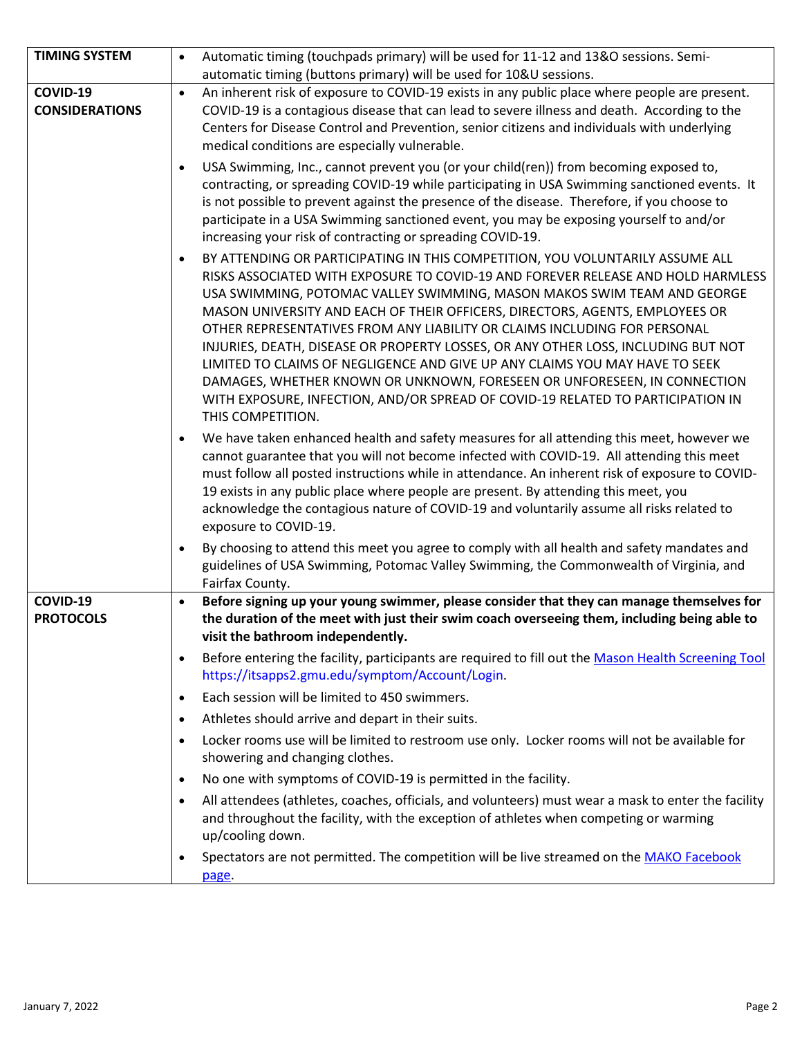| <b>TIMING SYSTEM</b>              | Automatic timing (touchpads primary) will be used for 11-12 and 13&O sessions. Semi-<br>$\bullet$                                                                                                                                                                                                                                                                                                                                                                                                                                                                                                                                                                                                                                                                              |
|-----------------------------------|--------------------------------------------------------------------------------------------------------------------------------------------------------------------------------------------------------------------------------------------------------------------------------------------------------------------------------------------------------------------------------------------------------------------------------------------------------------------------------------------------------------------------------------------------------------------------------------------------------------------------------------------------------------------------------------------------------------------------------------------------------------------------------|
|                                   | automatic timing (buttons primary) will be used for 10&U sessions.                                                                                                                                                                                                                                                                                                                                                                                                                                                                                                                                                                                                                                                                                                             |
| COVID-19<br><b>CONSIDERATIONS</b> | An inherent risk of exposure to COVID-19 exists in any public place where people are present.<br>$\bullet$<br>COVID-19 is a contagious disease that can lead to severe illness and death. According to the<br>Centers for Disease Control and Prevention, senior citizens and individuals with underlying<br>medical conditions are especially vulnerable.                                                                                                                                                                                                                                                                                                                                                                                                                     |
|                                   | USA Swimming, Inc., cannot prevent you (or your child(ren)) from becoming exposed to,<br>$\bullet$<br>contracting, or spreading COVID-19 while participating in USA Swimming sanctioned events. It<br>is not possible to prevent against the presence of the disease. Therefore, if you choose to<br>participate in a USA Swimming sanctioned event, you may be exposing yourself to and/or<br>increasing your risk of contracting or spreading COVID-19.                                                                                                                                                                                                                                                                                                                      |
|                                   | BY ATTENDING OR PARTICIPATING IN THIS COMPETITION, YOU VOLUNTARILY ASSUME ALL<br>$\bullet$<br>RISKS ASSOCIATED WITH EXPOSURE TO COVID-19 AND FOREVER RELEASE AND HOLD HARMLESS<br>USA SWIMMING, POTOMAC VALLEY SWIMMING, MASON MAKOS SWIM TEAM AND GEORGE<br>MASON UNIVERSITY AND EACH OF THEIR OFFICERS, DIRECTORS, AGENTS, EMPLOYEES OR<br>OTHER REPRESENTATIVES FROM ANY LIABILITY OR CLAIMS INCLUDING FOR PERSONAL<br>INJURIES, DEATH, DISEASE OR PROPERTY LOSSES, OR ANY OTHER LOSS, INCLUDING BUT NOT<br>LIMITED TO CLAIMS OF NEGLIGENCE AND GIVE UP ANY CLAIMS YOU MAY HAVE TO SEEK<br>DAMAGES, WHETHER KNOWN OR UNKNOWN, FORESEEN OR UNFORESEEN, IN CONNECTION<br>WITH EXPOSURE, INFECTION, AND/OR SPREAD OF COVID-19 RELATED TO PARTICIPATION IN<br>THIS COMPETITION. |
|                                   | We have taken enhanced health and safety measures for all attending this meet, however we<br>$\bullet$<br>cannot guarantee that you will not become infected with COVID-19. All attending this meet<br>must follow all posted instructions while in attendance. An inherent risk of exposure to COVID-<br>19 exists in any public place where people are present. By attending this meet, you<br>acknowledge the contagious nature of COVID-19 and voluntarily assume all risks related to<br>exposure to COVID-19.                                                                                                                                                                                                                                                            |
|                                   | By choosing to attend this meet you agree to comply with all health and safety mandates and<br>$\bullet$<br>guidelines of USA Swimming, Potomac Valley Swimming, the Commonwealth of Virginia, and<br>Fairfax County.                                                                                                                                                                                                                                                                                                                                                                                                                                                                                                                                                          |
| COVID-19<br><b>PROTOCOLS</b>      | Before signing up your young swimmer, please consider that they can manage themselves for<br>$\bullet$<br>the duration of the meet with just their swim coach overseeing them, including being able to<br>visit the bathroom independently.                                                                                                                                                                                                                                                                                                                                                                                                                                                                                                                                    |
|                                   | Before entering the facility, participants are required to fill out the Mason Health Screening Tool<br>$\bullet$<br>https://itsapps2.gmu.edu/symptom/Account/Login.                                                                                                                                                                                                                                                                                                                                                                                                                                                                                                                                                                                                            |
|                                   | Each session will be limited to 450 swimmers.<br>$\bullet$                                                                                                                                                                                                                                                                                                                                                                                                                                                                                                                                                                                                                                                                                                                     |
|                                   | Athletes should arrive and depart in their suits.<br>$\bullet$                                                                                                                                                                                                                                                                                                                                                                                                                                                                                                                                                                                                                                                                                                                 |
|                                   | Locker rooms use will be limited to restroom use only. Locker rooms will not be available for<br>$\bullet$<br>showering and changing clothes.                                                                                                                                                                                                                                                                                                                                                                                                                                                                                                                                                                                                                                  |
|                                   | No one with symptoms of COVID-19 is permitted in the facility.<br>$\bullet$                                                                                                                                                                                                                                                                                                                                                                                                                                                                                                                                                                                                                                                                                                    |
|                                   | All attendees (athletes, coaches, officials, and volunteers) must wear a mask to enter the facility<br>$\bullet$<br>and throughout the facility, with the exception of athletes when competing or warming<br>up/cooling down.                                                                                                                                                                                                                                                                                                                                                                                                                                                                                                                                                  |
|                                   | Spectators are not permitted. The competition will be live streamed on the MAKO Facebook<br>$\bullet$<br>page.                                                                                                                                                                                                                                                                                                                                                                                                                                                                                                                                                                                                                                                                 |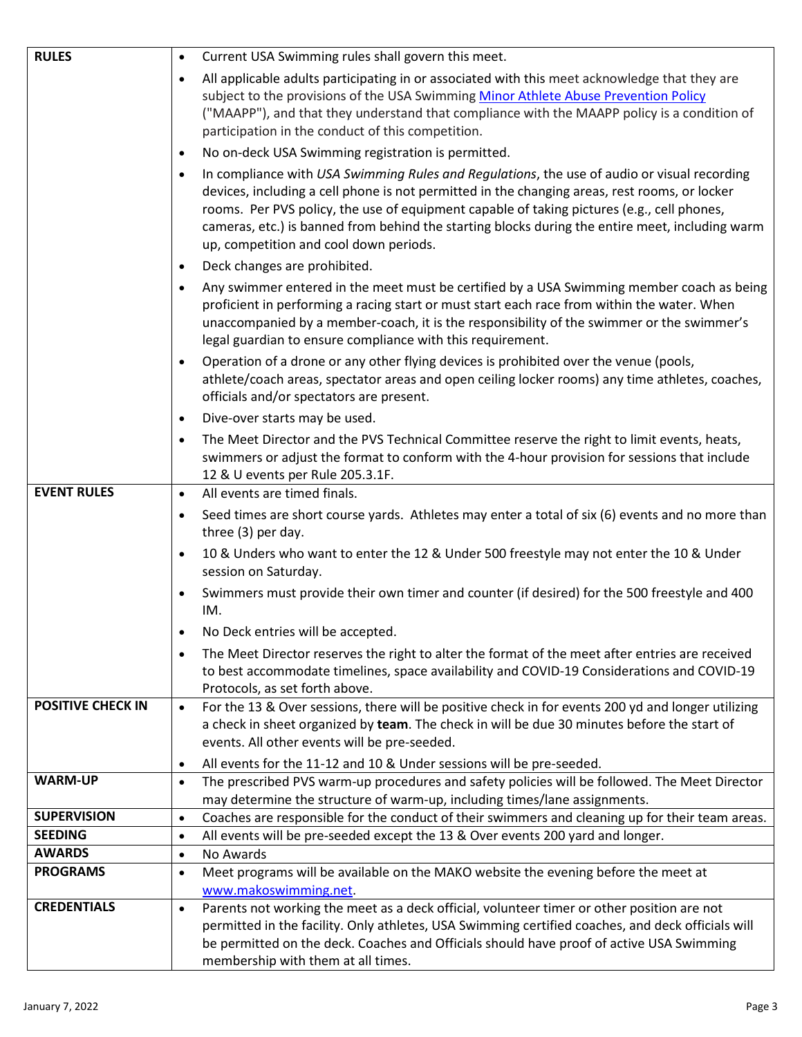| <b>RULES</b>             | Current USA Swimming rules shall govern this meet.<br>$\bullet$                                                                                                                                                                                                                                                                                                                                                                                      |
|--------------------------|------------------------------------------------------------------------------------------------------------------------------------------------------------------------------------------------------------------------------------------------------------------------------------------------------------------------------------------------------------------------------------------------------------------------------------------------------|
|                          | All applicable adults participating in or associated with this meet acknowledge that they are<br>$\bullet$<br>subject to the provisions of the USA Swimming Minor Athlete Abuse Prevention Policy                                                                                                                                                                                                                                                    |
|                          | ("MAAPP"), and that they understand that compliance with the MAAPP policy is a condition of<br>participation in the conduct of this competition.                                                                                                                                                                                                                                                                                                     |
|                          | No on-deck USA Swimming registration is permitted.<br>$\bullet$                                                                                                                                                                                                                                                                                                                                                                                      |
|                          | In compliance with USA Swimming Rules and Regulations, the use of audio or visual recording<br>$\bullet$<br>devices, including a cell phone is not permitted in the changing areas, rest rooms, or locker<br>rooms. Per PVS policy, the use of equipment capable of taking pictures (e.g., cell phones,<br>cameras, etc.) is banned from behind the starting blocks during the entire meet, including warm<br>up, competition and cool down periods. |
|                          | Deck changes are prohibited.<br>$\bullet$                                                                                                                                                                                                                                                                                                                                                                                                            |
|                          | Any swimmer entered in the meet must be certified by a USA Swimming member coach as being<br>$\bullet$<br>proficient in performing a racing start or must start each race from within the water. When<br>unaccompanied by a member-coach, it is the responsibility of the swimmer or the swimmer's<br>legal guardian to ensure compliance with this requirement.                                                                                     |
|                          | Operation of a drone or any other flying devices is prohibited over the venue (pools,<br>$\bullet$<br>athlete/coach areas, spectator areas and open ceiling locker rooms) any time athletes, coaches,<br>officials and/or spectators are present.                                                                                                                                                                                                    |
|                          | Dive-over starts may be used.<br>$\bullet$                                                                                                                                                                                                                                                                                                                                                                                                           |
|                          | The Meet Director and the PVS Technical Committee reserve the right to limit events, heats,<br>$\bullet$<br>swimmers or adjust the format to conform with the 4-hour provision for sessions that include<br>12 & U events per Rule 205.3.1F.                                                                                                                                                                                                         |
| <b>EVENT RULES</b>       | All events are timed finals.<br>$\bullet$                                                                                                                                                                                                                                                                                                                                                                                                            |
|                          | Seed times are short course yards. Athletes may enter a total of six (6) events and no more than<br>$\bullet$<br>three (3) per day.                                                                                                                                                                                                                                                                                                                  |
|                          | 10 & Unders who want to enter the 12 & Under 500 freestyle may not enter the 10 & Under<br>$\bullet$<br>session on Saturday.                                                                                                                                                                                                                                                                                                                         |
|                          | Swimmers must provide their own timer and counter (if desired) for the 500 freestyle and 400<br>$\bullet$<br>IM.                                                                                                                                                                                                                                                                                                                                     |
|                          | No Deck entries will be accepted                                                                                                                                                                                                                                                                                                                                                                                                                     |
|                          | The Meet Director reserves the right to alter the format of the meet after entries are received<br>$\bullet$                                                                                                                                                                                                                                                                                                                                         |
|                          | to best accommodate timelines, space availability and COVID-19 Considerations and COVID-19<br>Protocols, as set forth above.                                                                                                                                                                                                                                                                                                                         |
| <b>POSITIVE CHECK IN</b> | For the 13 & Over sessions, there will be positive check in for events 200 yd and longer utilizing<br>$\bullet$<br>a check in sheet organized by team. The check in will be due 30 minutes before the start of<br>events. All other events will be pre-seeded.                                                                                                                                                                                       |
|                          | All events for the 11-12 and 10 & Under sessions will be pre-seeded.<br>$\bullet$                                                                                                                                                                                                                                                                                                                                                                    |
| <b>WARM-UP</b>           | The prescribed PVS warm-up procedures and safety policies will be followed. The Meet Director<br>$\bullet$<br>may determine the structure of warm-up, including times/lane assignments.                                                                                                                                                                                                                                                              |
| <b>SUPERVISION</b>       | Coaches are responsible for the conduct of their swimmers and cleaning up for their team areas.<br>$\bullet$                                                                                                                                                                                                                                                                                                                                         |
| <b>SEEDING</b>           | All events will be pre-seeded except the 13 & Over events 200 yard and longer.<br>$\bullet$                                                                                                                                                                                                                                                                                                                                                          |
| <b>AWARDS</b>            | No Awards<br>$\bullet$                                                                                                                                                                                                                                                                                                                                                                                                                               |
| <b>PROGRAMS</b>          | Meet programs will be available on the MAKO website the evening before the meet at<br>$\bullet$<br>www.makoswimming.net.                                                                                                                                                                                                                                                                                                                             |
| <b>CREDENTIALS</b>       | Parents not working the meet as a deck official, volunteer timer or other position are not<br>$\bullet$                                                                                                                                                                                                                                                                                                                                              |
|                          | permitted in the facility. Only athletes, USA Swimming certified coaches, and deck officials will                                                                                                                                                                                                                                                                                                                                                    |
|                          | be permitted on the deck. Coaches and Officials should have proof of active USA Swimming                                                                                                                                                                                                                                                                                                                                                             |
|                          | membership with them at all times.                                                                                                                                                                                                                                                                                                                                                                                                                   |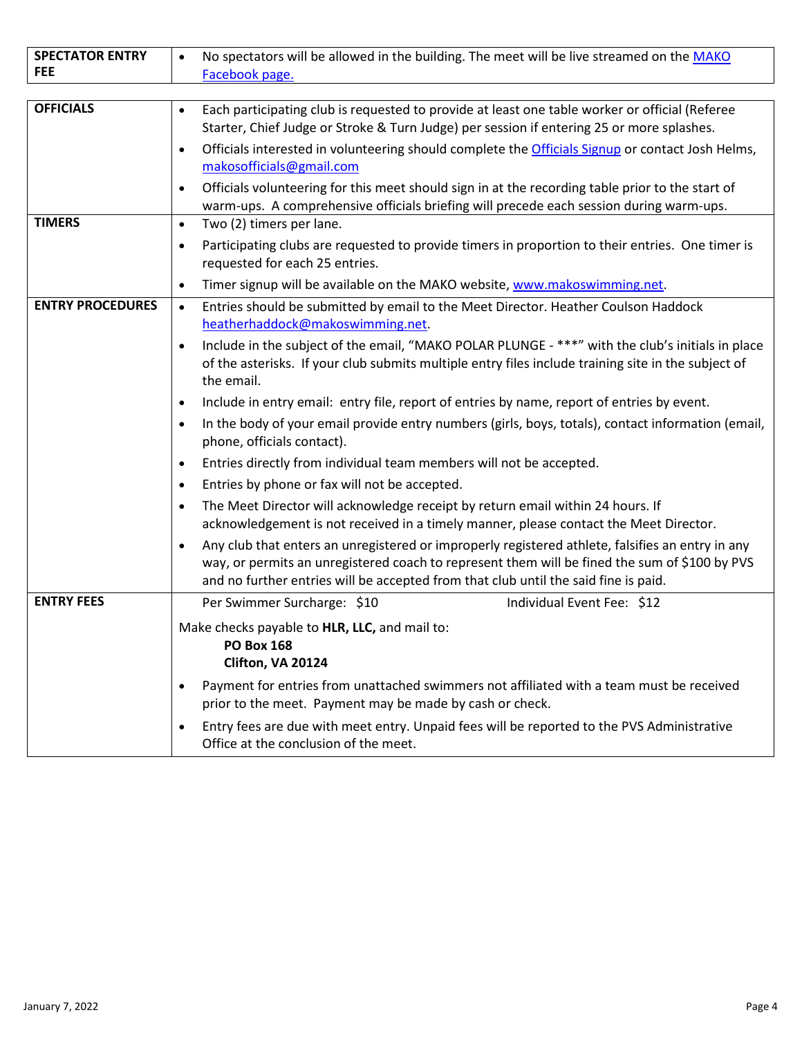| <b>SPECTATOR ENTRY</b><br><b>FEE</b> | No spectators will be allowed in the building. The meet will be live streamed on the MAKO<br>Facebook page.                                                                                                                                                                                                               |
|--------------------------------------|---------------------------------------------------------------------------------------------------------------------------------------------------------------------------------------------------------------------------------------------------------------------------------------------------------------------------|
|                                      |                                                                                                                                                                                                                                                                                                                           |
| <b>OFFICIALS</b>                     | Each participating club is requested to provide at least one table worker or official (Referee<br>$\bullet$<br>Starter, Chief Judge or Stroke & Turn Judge) per session if entering 25 or more splashes.<br>Officials interested in volunteering should complete the Officials Signup or contact Josh Helms,<br>$\bullet$ |
|                                      | makosofficials@gmail.com<br>Officials volunteering for this meet should sign in at the recording table prior to the start of<br>$\bullet$                                                                                                                                                                                 |
|                                      | warm-ups. A comprehensive officials briefing will precede each session during warm-ups.                                                                                                                                                                                                                                   |
| <b>TIMERS</b>                        | Two (2) timers per lane.<br>$\bullet$                                                                                                                                                                                                                                                                                     |
|                                      | Participating clubs are requested to provide timers in proportion to their entries. One timer is<br>$\bullet$<br>requested for each 25 entries.                                                                                                                                                                           |
|                                      | Timer signup will be available on the MAKO website, www.makoswimming.net.<br>$\bullet$                                                                                                                                                                                                                                    |
| <b>ENTRY PROCEDURES</b>              | Entries should be submitted by email to the Meet Director. Heather Coulson Haddock<br>$\bullet$<br>heatherhaddock@makoswimming.net                                                                                                                                                                                        |
|                                      | Include in the subject of the email, "MAKO POLAR PLUNGE - ***" with the club's initials in place<br>$\bullet$<br>of the asterisks. If your club submits multiple entry files include training site in the subject of<br>the email.                                                                                        |
|                                      | Include in entry email: entry file, report of entries by name, report of entries by event.<br>$\bullet$                                                                                                                                                                                                                   |
|                                      | In the body of your email provide entry numbers (girls, boys, totals), contact information (email,<br>$\bullet$<br>phone, officials contact).                                                                                                                                                                             |
|                                      | Entries directly from individual team members will not be accepted.<br>$\bullet$                                                                                                                                                                                                                                          |
|                                      | Entries by phone or fax will not be accepted.<br>$\bullet$                                                                                                                                                                                                                                                                |
|                                      | The Meet Director will acknowledge receipt by return email within 24 hours. If<br>$\bullet$<br>acknowledgement is not received in a timely manner, please contact the Meet Director.                                                                                                                                      |
|                                      | Any club that enters an unregistered or improperly registered athlete, falsifies an entry in any<br>$\bullet$<br>way, or permits an unregistered coach to represent them will be fined the sum of \$100 by PVS<br>and no further entries will be accepted from that club until the said fine is paid.                     |
| <b>ENTRY FEES</b>                    | Per Swimmer Surcharge: \$10<br>Individual Event Fee: \$12                                                                                                                                                                                                                                                                 |
|                                      | Make checks payable to HLR, LLC, and mail to:<br><b>PO Box 168</b><br>Clifton, VA 20124                                                                                                                                                                                                                                   |
|                                      | Payment for entries from unattached swimmers not affiliated with a team must be received<br>$\bullet$<br>prior to the meet. Payment may be made by cash or check.                                                                                                                                                         |
|                                      | Entry fees are due with meet entry. Unpaid fees will be reported to the PVS Administrative<br>$\bullet$<br>Office at the conclusion of the meet.                                                                                                                                                                          |